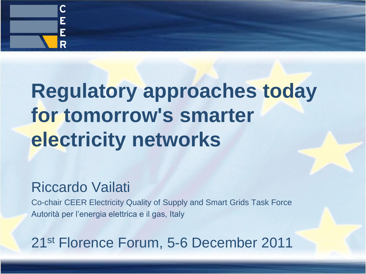

# **Regulatory approaches today for tomorrow's smarter electricity networks**

#### Riccardo Vailati

Co-chair CEER Electricity Quality of Supply and Smart Grids Task Force Autorità per l'energia elettrica e il gas, Italy

21st Florence Forum, 5-6 December 2011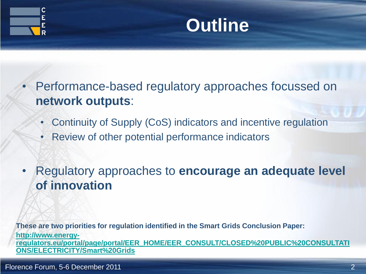

#### **Outline**

• Performance-based regulatory approaches focussed on **network outputs**:

- Continuity of Supply (CoS) indicators and incentive regulation
- Review of other potential performance indicators

• Regulatory approaches to **encourage an adequate level of innovation**

**These are two priorities for regulation identified in the Smart Grids Conclusion Paper: [http://www.energy](http://www.energy-regulators.eu/portal/page/portal/EER_HOME/EER_CONSULT/CLOSED PUBLIC CONSULTATIONS/ELECTRICITY/Smart Grids)[regulators.eu/portal/page/portal/EER\\_HOME/EER\\_CONSULT/CLOSED%20PUBLIC%20CONSULTATI](http://www.energy-regulators.eu/portal/page/portal/EER_HOME/EER_CONSULT/CLOSED PUBLIC CONSULTATIONS/ELECTRICITY/Smart Grids) [ONS/ELECTRICITY/Smart%20Grids](http://www.energy-regulators.eu/portal/page/portal/EER_HOME/EER_CONSULT/CLOSED PUBLIC CONSULTATIONS/ELECTRICITY/Smart Grids)**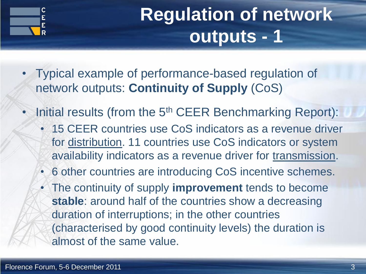

## **Regulation of network outputs - 1**

- Typical example of performance-based regulation of network outputs: **Continuity of Supply** (CoS)
- Initial results (from the 5<sup>th</sup> CEER Benchmarking Report):
	- 15 CEER countries use CoS indicators as a revenue driver for distribution. 11 countries use CoS indicators or system availability indicators as a revenue driver for transmission.
	- 6 other countries are introducing CoS incentive schemes.
	- The continuity of supply **improvement** tends to become **stable**: around half of the countries show a decreasing duration of interruptions; in the other countries (characterised by good continuity levels) the duration is almost of the same value.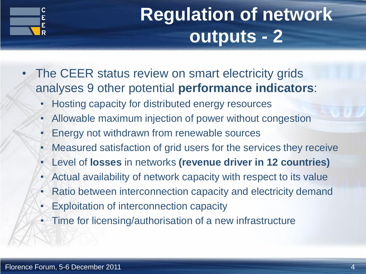

# **Regulation of network outputs - 2**

- The CEER status review on smart electricity grids analyses 9 other potential **performance indicators**:
	- Hosting capacity for distributed energy resources
	- Allowable maximum injection of power without congestion
	- Energy not withdrawn from renewable sources
	- Measured satisfaction of grid users for the services they receive
	- Level of **losses** in networks **(revenue driver in 12 countries)**
	- Actual availability of network capacity with respect to its value
	- Ratio between interconnection capacity and electricity demand
	- Exploitation of interconnection capacity
	- Time for licensing/authorisation of a new infrastructure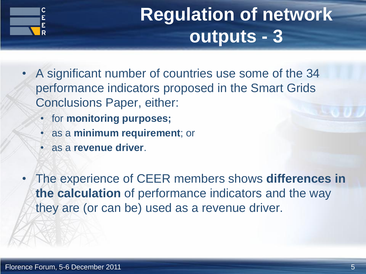

## **Regulation of network outputs - 3**

- A significant number of countries use some of the 34 performance indicators proposed in the Smart Grids Conclusions Paper, either:
	- for **monitoring purposes;**
	- as a **minimum requirement**; or
	- as a **revenue driver**.
- The experience of CEER members shows **differences in the calculation** of performance indicators and the way they are (or can be) used as a revenue driver.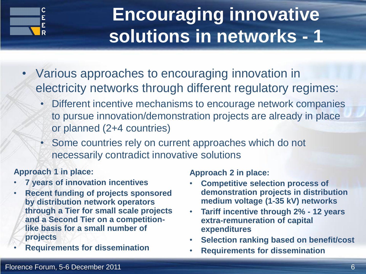

## **Encouraging innovative solutions in networks - 1**

- Various approaches to encouraging innovation in electricity networks through different regulatory regimes:
	- Different incentive mechanisms to encourage network companies to pursue innovation/demonstration projects are already in place or planned (2+4 countries)
	- Some countries rely on current approaches which do not necessarily contradict innovative solutions

#### **Approach 1 in place:**

- **7 years of innovation incentives**
- **Recent funding of projects sponsored by distribution network operators through a Tier for small scale projects and a Second Tier on a competitionlike basis for a small number of projects**
- **Requirements for dissemination**

**Approach 2 in place:**

- **Competitive selection process of demonstration projects in distribution medium voltage (1-35 kV) networks**
- **Tariff incentive through 2% - 12 years extra-remuneration of capital expenditures**
- **Selection ranking based on benefit/cost**
- **Requirements for dissemination**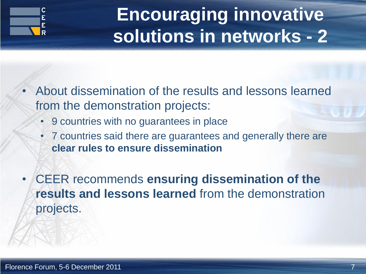

# **Encouraging innovative solutions in networks - 2**

- About dissemination of the results and lessons learned from the demonstration projects:
	- 9 countries with no guarantees in place
	- 7 countries said there are guarantees and generally there are **clear rules to ensure dissemination**
- CEER recommends **ensuring dissemination of the results and lessons learned** from the demonstration projects.